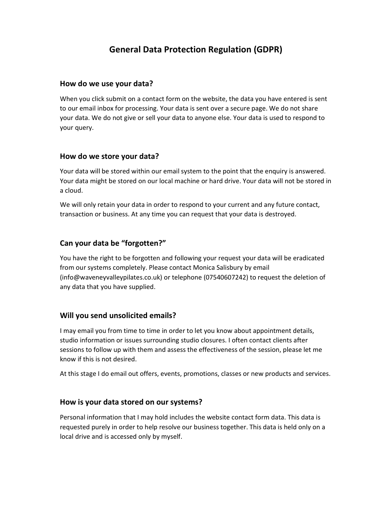# General Data Protection Regulation (GDPR)

#### How do we use your data?

When you click submit on a contact form on the website, the data you have entered is sent to our email inbox for processing. Your data is sent over a secure page. We do not share your data. We do not give or sell your data to anyone else. Your data is used to respond to your query.

### How do we store your data?

Your data will be stored within our email system to the point that the enquiry is answered. Your data might be stored on our local machine or hard drive. Your data will not be stored in a cloud.

We will only retain your data in order to respond to your current and any future contact, transaction or business. At any time you can request that your data is destroyed.

# Can your data be "forgotten?"

You have the right to be forgotten and following your request your data will be eradicated from our systems completely. Please contact Monica Salisbury by email (info@waveneyvalleypilates.co.uk) or telephone (07540607242) to request the deletion of any data that you have supplied.

# Will you send unsolicited emails?

I may email you from time to time in order to let you know about appointment details, studio information or issues surrounding studio closures. I often contact clients after sessions to follow up with them and assess the effectiveness of the session, please let me know if this is not desired.

At this stage I do email out offers, events, promotions, classes or new products and services.

#### How is your data stored on our systems?

Personal information that I may hold includes the website contact form data. This data is requested purely in order to help resolve our business together. This data is held only on a local drive and is accessed only by myself.